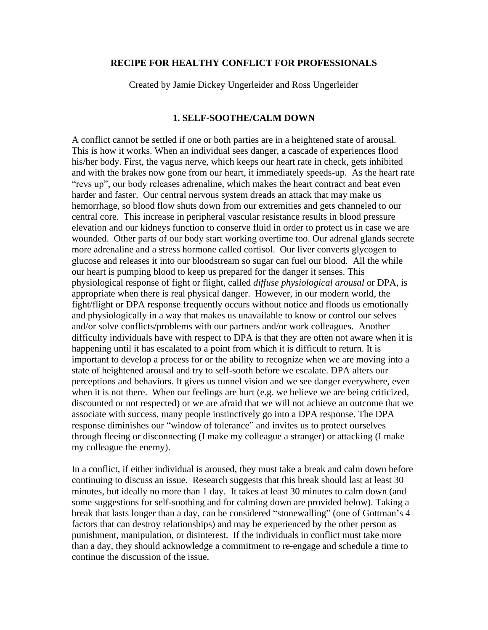#### **RECIPE FOR HEALTHY CONFLICT FOR PROFESSIONALS**

Created by Jamie Dickey Ungerleider and Ross Ungerleider

### **1. SELF-SOOTHE/CALM DOWN**

A conflict cannot be settled if one or both parties are in a heightened state of arousal. This is how it works. When an individual sees danger, a cascade of experiences flood his/her body. First, the vagus nerve, which keeps our heart rate in check, gets inhibited and with the brakes now gone from our heart, it immediately speeds-up. As the heart rate "revs up", our body releases adrenaline, which makes the heart contract and beat even harder and faster. Our central nervous system dreads an attack that may make us hemorrhage, so blood flow shuts down from our extremities and gets channeled to our central core. This increase in peripheral vascular resistance results in blood pressure elevation and our kidneys function to conserve fluid in order to protect us in case we are wounded. Other parts of our body start working overtime too. Our adrenal glands secrete more adrenaline and a stress hormone called cortisol. Our liver converts glycogen to glucose and releases it into our bloodstream so sugar can fuel our blood. All the while our heart is pumping blood to keep us prepared for the danger it senses. This physiological response of fight or flight, called *diffuse physiological arousal* or DPA, is appropriate when there is real physical danger. However, in our modern world, the fight/flight or DPA response frequently occurs without notice and floods us emotionally and physiologically in a way that makes us unavailable to know or control our selves and/or solve conflicts/problems with our partners and/or work colleagues. Another difficulty individuals have with respect to DPA is that they are often not aware when it is happening until it has escalated to a point from which it is difficult to return. It is important to develop a process for or the ability to recognize when we are moving into a state of heightened arousal and try to self-sooth before we escalate. DPA alters our perceptions and behaviors. It gives us tunnel vision and we see danger everywhere, even when it is not there. When our feelings are hurt (e.g. we believe we are being criticized, discounted or not respected) or we are afraid that we will not achieve an outcome that we associate with success, many people instinctively go into a DPA response. The DPA response diminishes our "window of tolerance" and invites us to protect ourselves through fleeing or disconnecting (I make my colleague a stranger) or attacking (I make my colleague the enemy).

In a conflict, if either individual is aroused, they must take a break and calm down before continuing to discuss an issue. Research suggests that this break should last at least 30 minutes, but ideally no more than 1 day. It takes at least 30 minutes to calm down (and some suggestions for self-soothing and for calming down are provided below). Taking a break that lasts longer than a day, can be considered "stonewalling" (one of Gottman's 4 factors that can destroy relationships) and may be experienced by the other person as punishment, manipulation, or disinterest. If the individuals in conflict must take more than a day, they should acknowledge a commitment to re-engage and schedule a time to continue the discussion of the issue.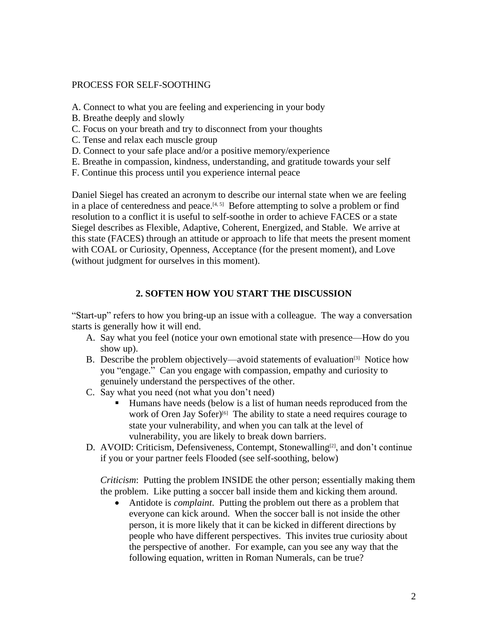### PROCESS FOR SELF-SOOTHING

- A. Connect to what you are feeling and experiencing in your body
- B. Breathe deeply and slowly
- C. Focus on your breath and try to disconnect from your thoughts
- C. Tense and relax each muscle group
- D. Connect to your safe place and/or a positive memory/experience
- E. Breathe in compassion, kindness, understanding, and gratitude towards your self
- F. Continue this process until you experience internal peace

Daniel Siegel has created an acronym to describe our internal state when we are feeling in a place of centeredness and peace. $[4, 5]$  Before attempting to solve a problem or find resolution to a conflict it is useful to self-soothe in order to achieve FACES or a state Siegel describes as Flexible, Adaptive, Coherent, Energized, and Stable. We arrive at this state (FACES) through an attitude or approach to life that meets the present moment with COAL or Curiosity, Openness, Acceptance (for the present moment), and Love (without judgment for ourselves in this moment).

# **2. SOFTEN HOW YOU START THE DISCUSSION**

"Start-up" refers to how you bring-up an issue with a colleague. The way a conversation starts is generally how it will end.

- A. Say what you feel (notice your own emotional state with presence—How do you show up).
- B. Describe the problem objectively—avoid statements of evaluation<sup>[3]</sup> Notice how you "engage." Can you engage with compassion, empathy and curiosity to genuinely understand the perspectives of the other.
- C. Say what you need (not what you don't need)
	- Humans have needs (below is a list of human needs reproduced from the work of Oren Jay Sofer)<sup>[6]</sup> The ability to state a need requires courage to state your vulnerability, and when you can talk at the level of vulnerability, you are likely to break down barriers.
- D. AVOID: Criticism, Defensiveness, Contempt, Stonewalling<sup>[2]</sup>, and don't continue if you or your partner feels Flooded (see self-soothing, below)

*Criticism*: Putting the problem INSIDE the other person; essentially making them the problem. Like putting a soccer ball inside them and kicking them around.

• Antidote is *complaint*. Putting the problem out there as a problem that everyone can kick around. When the soccer ball is not inside the other person, it is more likely that it can be kicked in different directions by people who have different perspectives. This invites true curiosity about the perspective of another. For example, can you see any way that the following equation, written in Roman Numerals, can be true?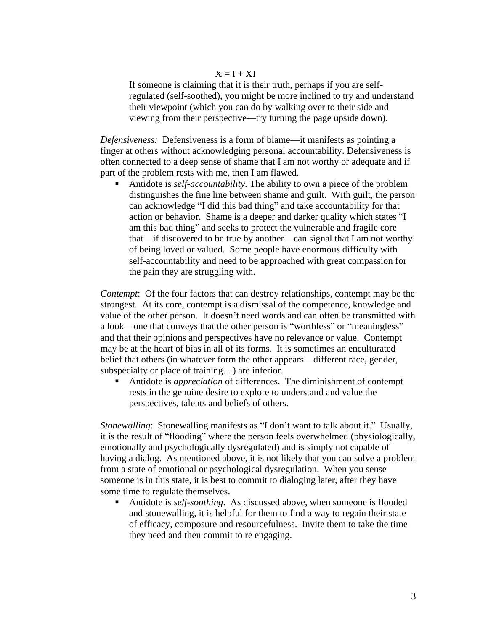#### $X = I + XI$

If someone is claiming that it is their truth, perhaps if you are selfregulated (self-soothed), you might be more inclined to try and understand their viewpoint (which you can do by walking over to their side and viewing from their perspective—try turning the page upside down).

*Defensiveness:* Defensiveness is a form of blame—it manifests as pointing a finger at others without acknowledging personal accountability. Defensiveness is often connected to a deep sense of shame that I am not worthy or adequate and if part of the problem rests with me, then I am flawed.

Antidote is *self-accountability*. The ability to own a piece of the problem distinguishes the fine line between shame and guilt. With guilt, the person can acknowledge "I did this bad thing" and take accountability for that action or behavior. Shame is a deeper and darker quality which states "I am this bad thing" and seeks to protect the vulnerable and fragile core that—if discovered to be true by another—can signal that I am not worthy of being loved or valued. Some people have enormous difficulty with self-accountability and need to be approached with great compassion for the pain they are struggling with.

*Contempt*: Of the four factors that can destroy relationships, contempt may be the strongest. At its core, contempt is a dismissal of the competence, knowledge and value of the other person. It doesn't need words and can often be transmitted with a look—one that conveys that the other person is "worthless" or "meaningless" and that their opinions and perspectives have no relevance or value. Contempt may be at the heart of bias in all of its forms. It is sometimes an enculturated belief that others (in whatever form the other appears—different race, gender, subspecialty or place of training…) are inferior.

Antidote is *appreciation* of differences. The diminishment of contempt rests in the genuine desire to explore to understand and value the perspectives, talents and beliefs of others.

*Stonewalling*: Stonewalling manifests as "I don't want to talk about it." Usually, it is the result of "flooding" where the person feels overwhelmed (physiologically, emotionally and psychologically dysregulated) and is simply not capable of having a dialog. As mentioned above, it is not likely that you can solve a problem from a state of emotional or psychological dysregulation. When you sense someone is in this state, it is best to commit to dialoging later, after they have some time to regulate themselves.

Antidote is *self-soothing*. As discussed above, when someone is flooded and stonewalling, it is helpful for them to find a way to regain their state of efficacy, composure and resourcefulness. Invite them to take the time they need and then commit to re engaging.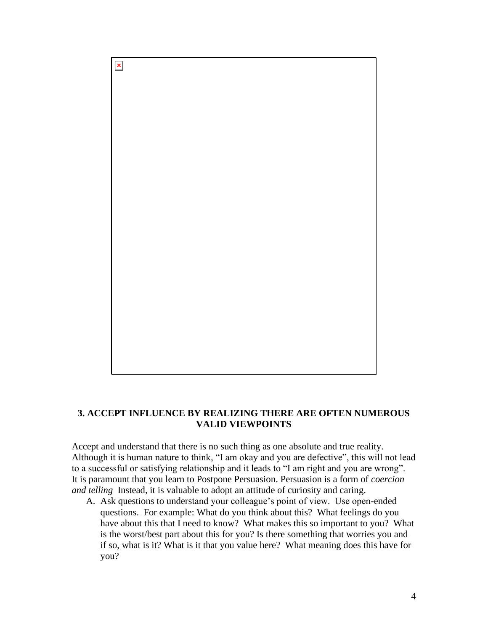

# **3. ACCEPT INFLUENCE BY REALIZING THERE ARE OFTEN NUMEROUS VALID VIEWPOINTS**

Accept and understand that there is no such thing as one absolute and true reality. Although it is human nature to think, "I am okay and you are defective", this will not lead to a successful or satisfying relationship and it leads to "I am right and you are wrong". It is paramount that you learn to Postpone Persuasion. Persuasion is a form of *coercion and telling* Instead, it is valuable to adopt an attitude of curiosity and caring.

A. Ask questions to understand your colleague's point of view. Use open-ended questions. For example: What do you think about this? What feelings do you have about this that I need to know? What makes this so important to you? What is the worst/best part about this for you? Is there something that worries you and if so, what is it? What is it that you value here? What meaning does this have for you?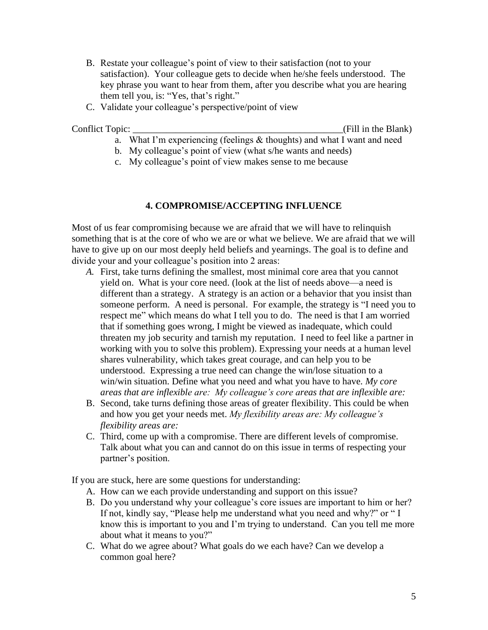- B. Restate your colleague's point of view to their satisfaction (not to your satisfaction). Your colleague gets to decide when he/she feels understood. The key phrase you want to hear from them, after you describe what you are hearing them tell you, is: "Yes, that's right."
- C. Validate your colleague's perspective/point of view

Conflict Topic: Conflict Topic:  $\qquad \qquad$  (Fill in the Blank)

- a. What I'm experiencing (feelings & thoughts) and what I want and need
- b. My colleague's point of view (what s/he wants and needs)
- c. My colleague's point of view makes sense to me because

### **4. COMPROMISE/ACCEPTING INFLUENCE**

Most of us fear compromising because we are afraid that we will have to relinquish something that is at the core of who we are or what we believe. We are afraid that we will have to give up on our most deeply held beliefs and yearnings. The goal is to define and divide your and your colleague's position into 2 areas:

- *A.* First, take turns defining the smallest, most minimal core area that you cannot yield on. What is your core need. (look at the list of needs above—a need is different than a strategy. A strategy is an action or a behavior that you insist than someone perform. A need is personal. For example, the strategy is "I need you to respect me" which means do what I tell you to do. The need is that I am worried that if something goes wrong, I might be viewed as inadequate, which could threaten my job security and tarnish my reputation. I need to feel like a partner in working with you to solve this problem). Expressing your needs at a human level shares vulnerability, which takes great courage, and can help you to be understood. Expressing a true need can change the win/lose situation to a win/win situation. Define what you need and what you have to have. *My core areas that are inflexible are: My colleague's core areas that are inflexible are:*
- B. Second, take turns defining those areas of greater flexibility. This could be when and how you get your needs met. *My flexibility areas are: My colleague's flexibility areas are:*
- C. Third, come up with a compromise. There are different levels of compromise. Talk about what you can and cannot do on this issue in terms of respecting your partner's position.

If you are stuck, here are some questions for understanding:

- A. How can we each provide understanding and support on this issue?
- B. Do you understand why your colleague's core issues are important to him or her? If not, kindly say, "Please help me understand what you need and why?" or " I know this is important to you and I'm trying to understand. Can you tell me more about what it means to you?"
- C. What do we agree about? What goals do we each have? Can we develop a common goal here?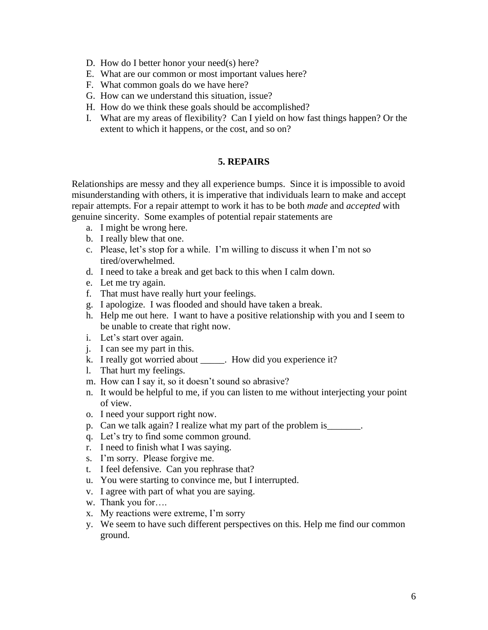- D. How do I better honor your need(s) here?
- E. What are our common or most important values here?
- F. What common goals do we have here?
- G. How can we understand this situation, issue?
- H. How do we think these goals should be accomplished?
- I. What are my areas of flexibility? Can I yield on how fast things happen? Or the extent to which it happens, or the cost, and so on?

#### **5. REPAIRS**

Relationships are messy and they all experience bumps. Since it is impossible to avoid misunderstanding with others, it is imperative that individuals learn to make and accept repair attempts. For a repair attempt to work it has to be both *made* and *accepted* with genuine sincerity. Some examples of potential repair statements are

- a. I might be wrong here.
- b. I really blew that one.
- c. Please, let's stop for a while. I'm willing to discuss it when I'm not so tired/overwhelmed.
- d. I need to take a break and get back to this when I calm down.
- e. Let me try again.
- f. That must have really hurt your feelings.
- g. I apologize. I was flooded and should have taken a break.
- h. Help me out here. I want to have a positive relationship with you and I seem to be unable to create that right now.
- i. Let's start over again.
- j. I can see my part in this.
- k. I really got worried about . How did you experience it?
- l. That hurt my feelings.
- m. How can I say it, so it doesn't sound so abrasive?
- n. It would be helpful to me, if you can listen to me without interjecting your point of view.
- o. I need your support right now.
- p. Can we talk again? I realize what my part of the problem is
- q. Let's try to find some common ground.
- r. I need to finish what I was saying.
- s. I'm sorry. Please forgive me.
- t. I feel defensive. Can you rephrase that?
- u. You were starting to convince me, but I interrupted.
- v. I agree with part of what you are saying.
- w. Thank you for….
- x. My reactions were extreme, I'm sorry
- y. We seem to have such different perspectives on this. Help me find our common ground.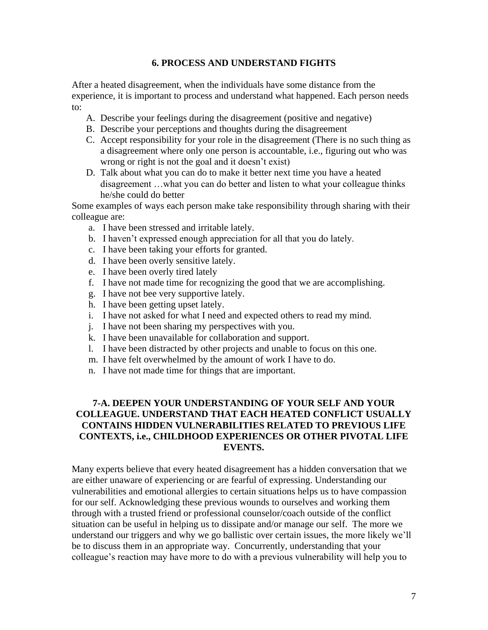#### **6. PROCESS AND UNDERSTAND FIGHTS**

After a heated disagreement, when the individuals have some distance from the experience, it is important to process and understand what happened. Each person needs to:

- A. Describe your feelings during the disagreement (positive and negative)
- B. Describe your perceptions and thoughts during the disagreement
- C. Accept responsibility for your role in the disagreement (There is no such thing as a disagreement where only one person is accountable, i.e., figuring out who was wrong or right is not the goal and it doesn't exist)
- D. Talk about what you can do to make it better next time you have a heated disagreement …what you can do better and listen to what your colleague thinks he/she could do better

Some examples of ways each person make take responsibility through sharing with their colleague are:

- a. I have been stressed and irritable lately.
- b. I haven't expressed enough appreciation for all that you do lately.
- c. I have been taking your efforts for granted.
- d. I have been overly sensitive lately.
- e. I have been overly tired lately
- f. I have not made time for recognizing the good that we are accomplishing.
- g. I have not bee very supportive lately.
- h. I have been getting upset lately.
- i. I have not asked for what I need and expected others to read my mind.
- j. I have not been sharing my perspectives with you.
- k. I have been unavailable for collaboration and support.
- l. I have been distracted by other projects and unable to focus on this one.
- m. I have felt overwhelmed by the amount of work I have to do.
- n. I have not made time for things that are important.

# **7-A. DEEPEN YOUR UNDERSTANDING OF YOUR SELF AND YOUR COLLEAGUE. UNDERSTAND THAT EACH HEATED CONFLICT USUALLY CONTAINS HIDDEN VULNERABILITIES RELATED TO PREVIOUS LIFE CONTEXTS, i.e., CHILDHOOD EXPERIENCES OR OTHER PIVOTAL LIFE EVENTS.**

Many experts believe that every heated disagreement has a hidden conversation that we are either unaware of experiencing or are fearful of expressing. Understanding our vulnerabilities and emotional allergies to certain situations helps us to have compassion for our self. Acknowledging these previous wounds to ourselves and working them through with a trusted friend or professional counselor/coach outside of the conflict situation can be useful in helping us to dissipate and/or manage our self. The more we understand our triggers and why we go ballistic over certain issues, the more likely we'll be to discuss them in an appropriate way. Concurrently, understanding that your colleague's reaction may have more to do with a previous vulnerability will help you to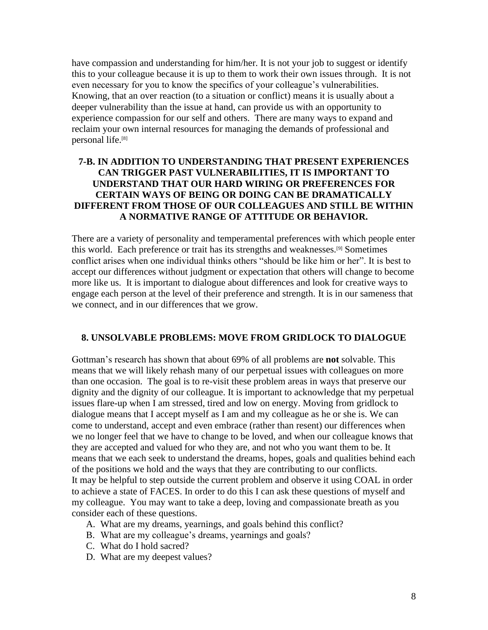have compassion and understanding for him/her. It is not your job to suggest or identify this to your colleague because it is up to them to work their own issues through. It is not even necessary for you to know the specifics of your colleague's vulnerabilities. Knowing, that an over reaction (to a situation or conflict) means it is usually about a deeper vulnerability than the issue at hand, can provide us with an opportunity to experience compassion for our self and others. There are many ways to expand and reclaim your own internal resources for managing the demands of professional and personal life.[8]

### **7-B. IN ADDITION TO UNDERSTANDING THAT PRESENT EXPERIENCES CAN TRIGGER PAST VULNERABILITIES, IT IS IMPORTANT TO UNDERSTAND THAT OUR HARD WIRING OR PREFERENCES FOR CERTAIN WAYS OF BEING OR DOING CAN BE DRAMATICALLY DIFFERENT FROM THOSE OF OUR COLLEAGUES AND STILL BE WITHIN A NORMATIVE RANGE OF ATTITUDE OR BEHAVIOR.**

There are a variety of personality and temperamental preferences with which people enter this world. Each preference or trait has its strengths and weaknesses.[9] Sometimes conflict arises when one individual thinks others "should be like him or her". It is best to accept our differences without judgment or expectation that others will change to become more like us. It is important to dialogue about differences and look for creative ways to engage each person at the level of their preference and strength. It is in our sameness that we connect, and in our differences that we grow.

#### **8. UNSOLVABLE PROBLEMS: MOVE FROM GRIDLOCK TO DIALOGUE**

Gottman's research has shown that about 69% of all problems are **not** solvable. This means that we will likely rehash many of our perpetual issues with colleagues on more than one occasion. The goal is to re-visit these problem areas in ways that preserve our dignity and the dignity of our colleague. It is important to acknowledge that my perpetual issues flare-up when I am stressed, tired and low on energy. Moving from gridlock to dialogue means that I accept myself as I am and my colleague as he or she is. We can come to understand, accept and even embrace (rather than resent) our differences when we no longer feel that we have to change to be loved, and when our colleague knows that they are accepted and valued for who they are, and not who you want them to be. It means that we each seek to understand the dreams, hopes, goals and qualities behind each of the positions we hold and the ways that they are contributing to our conflicts. It may be helpful to step outside the current problem and observe it using COAL in order to achieve a state of FACES. In order to do this I can ask these questions of myself and my colleague. You may want to take a deep, loving and compassionate breath as you consider each of these questions.

- A. What are my dreams, yearnings, and goals behind this conflict?
- B. What are my colleague's dreams, yearnings and goals?
- C. What do I hold sacred?
- D. What are my deepest values?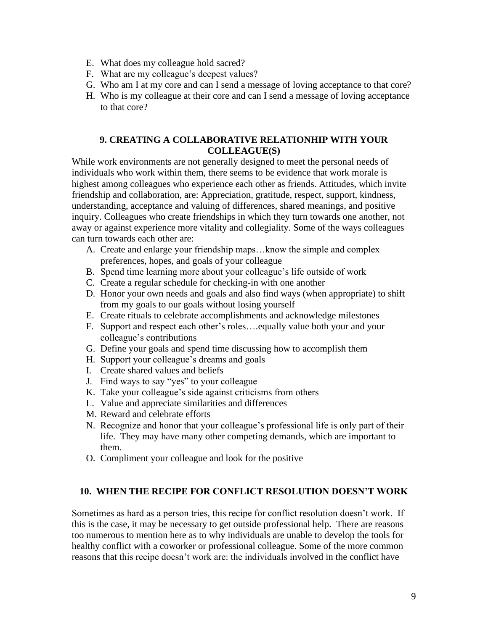- E. What does my colleague hold sacred?
- F. What are my colleague's deepest values?
- G. Who am I at my core and can I send a message of loving acceptance to that core?
- H. Who is my colleague at their core and can I send a message of loving acceptance to that core?

### **9. CREATING A COLLABORATIVE RELATIONHIP WITH YOUR COLLEAGUE(S)**

While work environments are not generally designed to meet the personal needs of individuals who work within them, there seems to be evidence that work morale is highest among colleagues who experience each other as friends. Attitudes, which invite friendship and collaboration, are: Appreciation, gratitude, respect, support, kindness, understanding, acceptance and valuing of differences, shared meanings, and positive inquiry. Colleagues who create friendships in which they turn towards one another, not away or against experience more vitality and collegiality. Some of the ways colleagues can turn towards each other are:

- A. Create and enlarge your friendship maps…know the simple and complex preferences, hopes, and goals of your colleague
- B. Spend time learning more about your colleague's life outside of work
- C. Create a regular schedule for checking-in with one another
- D. Honor your own needs and goals and also find ways (when appropriate) to shift from my goals to our goals without losing yourself
- E. Create rituals to celebrate accomplishments and acknowledge milestones
- F. Support and respect each other's roles….equally value both your and your colleague's contributions
- G. Define your goals and spend time discussing how to accomplish them
- H. Support your colleague's dreams and goals
- I. Create shared values and beliefs
- J. Find ways to say "yes" to your colleague
- K. Take your colleague's side against criticisms from others
- L. Value and appreciate similarities and differences
- M. Reward and celebrate efforts
- N. Recognize and honor that your colleague's professional life is only part of their life. They may have many other competing demands, which are important to them.
- O. Compliment your colleague and look for the positive

## **10. WHEN THE RECIPE FOR CONFLICT RESOLUTION DOESN'T WORK**

Sometimes as hard as a person tries, this recipe for conflict resolution doesn't work. If this is the case, it may be necessary to get outside professional help. There are reasons too numerous to mention here as to why individuals are unable to develop the tools for healthy conflict with a coworker or professional colleague. Some of the more common reasons that this recipe doesn't work are: the individuals involved in the conflict have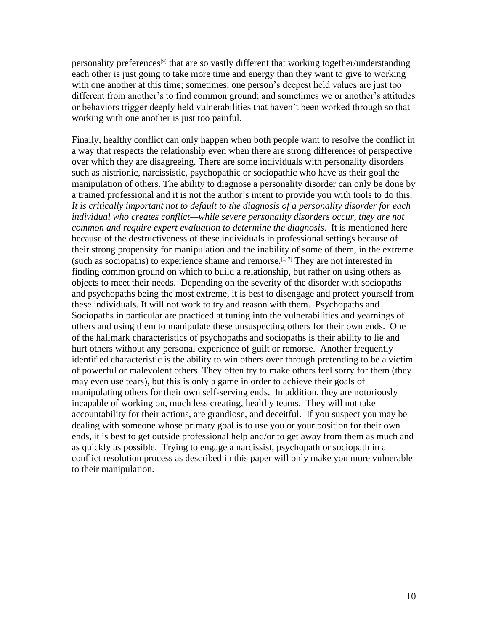personality preferences[9] that are so vastly different that working together/understanding each other is just going to take more time and energy than they want to give to working with one another at this time; sometimes, one person's deepest held values are just too different from another's to find common ground; and sometimes we or another's attitudes or behaviors trigger deeply held vulnerabilities that haven't been worked through so that working with one another is just too painful.

Finally, healthy conflict can only happen when both people want to resolve the conflict in a way that respects the relationship even when there are strong differences of perspective over which they are disagreeing. There are some individuals with personality disorders such as histrionic, narcissistic, psychopathic or sociopathic who have as their goal the manipulation of others. The ability to diagnose a personality disorder can only be done by a trained professional and it is not the author's intent to provide you with tools to do this. *It is critically important not to default to the diagnosis of a personality disorder for each individual who creates conflict—while severe personality disorders occur, they are not common and require expert evaluation to determine the diagnosis*. It is mentioned here because of the destructiveness of these individuals in professional settings because of their strong propensity for manipulation and the inability of some of them, in the extreme (such as sociopaths) to experience shame and remorse.<sup>[1, 7]</sup> They are not interested in finding common ground on which to build a relationship, but rather on using others as objects to meet their needs. Depending on the severity of the disorder with sociopaths and psychopaths being the most extreme, it is best to disengage and protect yourself from these individuals. It will not work to try and reason with them. Psychopaths and Sociopaths in particular are practiced at tuning into the vulnerabilities and yearnings of others and using them to manipulate these unsuspecting others for their own ends. One of the hallmark characteristics of psychopaths and sociopaths is their ability to lie and hurt others without any personal experience of guilt or remorse. Another frequently identified characteristic is the ability to win others over through pretending to be a victim of powerful or malevolent others. They often try to make others feel sorry for them (they may even use tears), but this is only a game in order to achieve their goals of manipulating others for their own self-serving ends. In addition, they are notoriously incapable of working on, much less creating, healthy teams. They will not take accountability for their actions, are grandiose, and deceitful. If you suspect you may be dealing with someone whose primary goal is to use you or your position for their own ends, it is best to get outside professional help and/or to get away from them as much and as quickly as possible. Trying to engage a narcissist, psychopath or sociopath in a conflict resolution process as described in this paper will only make you more vulnerable to their manipulation.